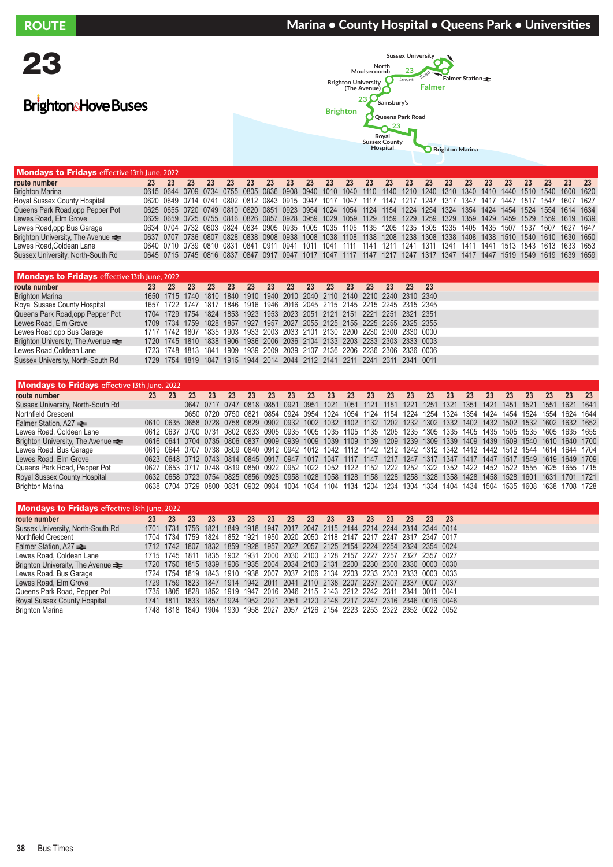## ROUTE **Marina • County Hospital • Queens Park • Universities** ACUTE

## BrightonsHove Buses



| <b>Mondays to Fridays</b> effective 13th June, 2022 |                                                                                                                    |    |    |    |    |    |    |    |    |    |     |                                         |    |    |     |    |                                              |    |    |    |    |    |
|-----------------------------------------------------|--------------------------------------------------------------------------------------------------------------------|----|----|----|----|----|----|----|----|----|-----|-----------------------------------------|----|----|-----|----|----------------------------------------------|----|----|----|----|----|
| route number                                        | $23 \t 23$                                                                                                         | 23 | 23 | 23 | 23 | 23 | 23 | 23 | 23 | 23 | -23 | 23                                      | 23 | 23 | -23 | 23 | 23                                           | 23 | 23 | 23 | 23 | 23 |
| <b>Brighton Marina</b>                              | 0615 0644 0709 0734 0755 0805 0836 0908 0940 1010 1040 1110 1140 1210 1240 1310 1340 1410 1440 1510 1540 1600 1620 |    |    |    |    |    |    |    |    |    |     |                                         |    |    |     |    |                                              |    |    |    |    |    |
| Royal Sussex County Hospital                        | 0620 0649 0714 0741 0802 0812 0843 0915 0947 1017 1047 1117 1147 1217 1247 1317 1347 1417 1447 1517 1547 1607 1627 |    |    |    |    |    |    |    |    |    |     |                                         |    |    |     |    |                                              |    |    |    |    |    |
| Queens Park Road.opp Pepper Pot                     | 0625 0655 0720 0749 0810 0820 0851 0923 0954 1024 1054 1124 1154 1224 1254 1324 1354 1424 1454 1524 1554 1614 1634 |    |    |    |    |    |    |    |    |    |     |                                         |    |    |     |    |                                              |    |    |    |    |    |
| Lewes Road, Elm Grove                               | 0629 0659 0725 0755 0816 0826 0857 0928 0959 1029 1059 1129 1159 1229 1259 1329 1359 1429 1459 1529 1559 1619 1639 |    |    |    |    |    |    |    |    |    |     |                                         |    |    |     |    |                                              |    |    |    |    |    |
| Lewes Road, opp Bus Garage                          | 0634 0704 0732 0803 0824 0834 0905 0935 1005 1035 1105 1135 1205 1235 1305 1335 1405 1435 1507 1537 1607 1627 1647 |    |    |    |    |    |    |    |    |    |     |                                         |    |    |     |    |                                              |    |    |    |    |    |
| Brighton University. The Avenue $\equiv$            | 0637 0707 0736 0807 0828 0838 0908 0938 1008 1038 1108 1138 1208 1238 1308 1338 1408 1438 1510 1540 1610 1630 1650 |    |    |    |    |    |    |    |    |    |     |                                         |    |    |     |    |                                              |    |    |    |    |    |
| Lewes Road, Coldean Lane                            | 0640 0710 0739 0810 0831 0841                                                                                      |    |    |    |    |    |    |    |    |    |     | 0911 0941 1011 1041 1111 1141 1211 1241 |    |    |     |    | 1311 1341 1411 1441 1513 1543 1613 1633 1653 |    |    |    |    |    |
| Sussex University, North-South Rd                   | 0645 0715 0745 0816 0837 0847 0917 0947 1017 1047 1117 1147 1217 1247 1317 1347 1417 1447 1519 1549 1619 1639 1659 |    |    |    |    |    |    |    |    |    |     |                                         |    |    |     |    |                                              |    |    |    |    |    |
|                                                     |                                                                                                                    |    |    |    |    |    |    |    |    |    |     |                                         |    |    |     |    |                                              |    |    |    |    |    |

| <b>Mondays to Fridays</b> effective 13th June, 2022 |    |    |    |    |    |     |    |     |    |           |     |    |     |                                                                            |      |  |
|-----------------------------------------------------|----|----|----|----|----|-----|----|-----|----|-----------|-----|----|-----|----------------------------------------------------------------------------|------|--|
| route number                                        | 23 | 23 | 23 | 23 | 23 | -23 | 23 | -23 | 23 | <b>23</b> | -23 | 23 | -23 | 23                                                                         | - 23 |  |
| <b>Brighton Marina</b>                              |    |    |    |    |    |     |    |     |    |           |     |    |     | 1650 1715 1740 1810 1840 1910 1940 2010 2040 2110 2140 2210 2240 2310 2340 |      |  |
| Royal Sussex County Hospital                        |    |    |    |    |    |     |    |     |    |           |     |    |     | 1657 1722 1747 1817 1846 1916 1946 2016 2045 2115 2145 2215 2245 2315 2345 |      |  |
| Queens Park Road, opp Pepper Pot                    |    |    |    |    |    |     |    |     |    |           |     |    |     | 1704 1729 1754 1824 1853 1923 1953 2023 2051 2121 2151 2221 2251 2321 2351 |      |  |
| Lewes Road, Elm Grove                               |    |    |    |    |    |     |    |     |    |           |     |    |     | 1709 1734 1759 1828 1857 1927 1957 2027 2055 2125 2155 2225 2255 2325 2355 |      |  |
| Lewes Road.opp Bus Garage                           |    |    |    |    |    |     |    |     |    |           |     |    |     | 1717 1742 1807 1835 1903 1933 2003 2033 2101 2130 2200 2230 2300 2330 0000 |      |  |
| Brighton University, The Avenue $\equiv$            |    |    |    |    |    |     |    |     |    |           |     |    |     | 1720 1745 1810 1838 1906 1936 2006 2036 2104 2133 2203 2233 2303 2333 0003 |      |  |
| Lewes Road, Coldean Lane                            |    |    |    |    |    |     |    |     |    |           |     |    |     | 1723 1748 1813 1841 1909 1939 2009 2039 2107 2136 2206 2236 2306 2336 0006 |      |  |
| Sussex University, North-South Rd                   |    |    |    |    |    |     |    |     |    |           |     |    |     | 1729 1754 1819 1847 1915 1944 2014 2044 2112 2141 2211 2241 2311 2341 0011 |      |  |

| <b>Mondays to Fridays</b> effective 13th June, 2022 |    |                                                        |    |                          |    |    |                                    |      |      |           |      |           |      |      |      |      |      |                                                                                                                    |      |      |      |                |      |
|-----------------------------------------------------|----|--------------------------------------------------------|----|--------------------------|----|----|------------------------------------|------|------|-----------|------|-----------|------|------|------|------|------|--------------------------------------------------------------------------------------------------------------------|------|------|------|----------------|------|
| route number                                        | 23 | 23                                                     | 23 | 23                       | 23 | 23 | 23                                 | 23   | 23   | 23        | 23   | 23        | 23   | 23   | 23   | 23   | 23   | 23                                                                                                                 | 23   | 23   | 23   | 23             | -23  |
| Sussex University, North-South Rd                   |    |                                                        |    | 0647 0717 0747 0818 0851 |    |    |                                    | 0921 | 0951 | 1021      | 1051 | 1121      | 1151 | 1221 | 1251 | 1321 | 1351 | 1421                                                                                                               | 1451 | 1521 | 1551 | 1621           | 1641 |
| Northfield Crescent                                 |    |                                                        |    |                          |    |    | 0650 0720 0750 0821 0854 0924 0954 |      |      | 1024 1054 |      | 1124 1154 |      |      |      |      |      | 1224 1254 1324 1354 1424 1454 1524 1554 1624 1644                                                                  |      |      |      |                |      |
| Falmer Station, A27 $\blacktriangleright$           |    | 0610 0635 0658 0728 0758 0829 0902 0932 1002 1032 1102 |    |                          |    |    |                                    |      |      |           |      |           |      |      |      |      |      | 1132 1202 1232 1302 1332 1402 1432 1502 1532 1602 1632 1652                                                        |      |      |      |                |      |
| Lewes Road, Coldean Lane                            |    |                                                        |    |                          |    |    |                                    |      |      |           |      |           |      |      |      |      |      | 0612 0637 0700 0731 0802 0833 0905 0935 1005 1035 1105 1135 1205 1235 1305 1335 1405 1435 1505 1535 1605 1635 1655 |      |      |      |                |      |
| Brighton University, The Avenue $\equiv$            |    |                                                        |    |                          |    |    |                                    |      |      |           |      |           |      |      |      |      |      | 0616 0641 0704 0735 0806 0837 0909 0939 1009 1039 1109 1139 1209 1239 1309 1339 1409 1439 1509 1540 1610 1640 1700 |      |      |      |                |      |
| Lewes Road, Bus Garage                              |    |                                                        |    |                          |    |    |                                    |      |      |           |      |           |      |      |      |      |      | 0619 0644 0707 0738 0809 0840 0912 0942 1012 1042 1112 1142 1212 1242 1312 1342 1412 1442 1512 1544 1614 1644 1704 |      |      |      |                |      |
| Lewes Road, Elm Grove                               |    |                                                        |    |                          |    |    |                                    |      |      |           |      |           |      |      |      |      |      | 0623 0648 0712 0743 0814 0845 0917 0947 1017 1047 1117 1147 1217 1247 1317 1347 1417 1447 1517 1549 1619 1649 1709 |      |      |      |                |      |
| Queens Park Road, Pepper Pot                        |    |                                                        |    |                          |    |    |                                    |      |      |           |      |           |      |      |      |      |      | 0627 0653 0717 0748 0819 0850 0922 0952 1022 1052 1122 1152 1222 1252 1322 1352 1422 1452 1522 1555 1625 1655 1715 |      |      |      |                |      |
| Royal Sussex County Hospital                        |    |                                                        |    |                          |    |    |                                    |      |      |           |      |           |      |      |      |      |      | 0632 0658 0723 0754 0825 0856 0928 0958 1028 1058 1128 1158 1228 1258 1328 1358 1428 1458 1528 1601 1631 1701 1721 |      |      |      |                |      |
| <b>Brighton Marina</b>                              |    | 0638 0704 0729 0800 0831 0902 0934 1004 1034 1104 1134 |    |                          |    |    |                                    |      |      |           |      |           |      |      |      |      |      | 1204 1234 1304 1334 1404 1434 1504 1535 1608                                                                       |      |      |      | 1638 1708 1728 |      |

| <b>Mondays to Fridays effective 13th June, 2022</b> |      |                                                                                 |           |      |    |                |                                                             |      |    |                |    |    |                          |    |       |        |
|-----------------------------------------------------|------|---------------------------------------------------------------------------------|-----------|------|----|----------------|-------------------------------------------------------------|------|----|----------------|----|----|--------------------------|----|-------|--------|
| route number                                        | 23   | 23                                                                              | 23        | 23   | 23 | 23             | 23                                                          | 23   | 23 | 23             | 23 | 23 | 23                       | 23 | 23    | -23    |
| Sussex University, North-South Rd                   | 1701 | 1731                                                                            | 1756      | 1821 |    | 1849 1918 1947 |                                                             | 2017 |    | 2047 2115 2144 |    |    | 2214 2244 2314 2344 0014 |    |       |        |
| Northfield Crescent                                 | 1704 | 1734                                                                            | 1759      | 1824 |    | 1852 1921      | 1950 2020 2050 2118 2147                                    |      |    |                |    |    | 2217 2247 2317           |    | -2347 | በበ17   |
| Falmer Station. A27 <b>≥</b>                        |      | 1712 1742                                                                       | 1807      | 1832 |    |                | 1859 1928 1957 2027 2057 2125 2154 2224 2254 2324 2354 0024 |      |    |                |    |    |                          |    |       |        |
| Lewes Road, Coldean Lane                            |      | 1715 1745 1811                                                                  |           |      |    |                | 1835 1902 1931 2000 2030 2100 2128 2157 2227 2257 2327 2357 |      |    |                |    |    |                          |    |       | በበ27   |
| Brighton University, The Avenue $\equiv$            |      | 1720 1750 1815 1839 1906 1935 2004 2034 2103 2131 2200 2230 2300 2330 0000 0030 |           |      |    |                |                                                             |      |    |                |    |    |                          |    |       |        |
| Lewes Road, Bus Garage                              |      | 1724 1754 1819 1843 1910 1938 2007 2037 2106 2134 2203 2233 2303 2333 0003 0033 |           |      |    |                |                                                             |      |    |                |    |    |                          |    |       |        |
| Lewes Road, Elm Grove                               |      | 1729 1759 1823 1847 1914 1942 2011 2041 2110 2138 2207 2237 2307 2337 0007      |           |      |    |                |                                                             |      |    |                |    |    |                          |    |       | - 0037 |
| Queens Park Road, Pepper Pot                        | 1735 |                                                                                 | 1805 1828 |      |    |                | 1852 1919 1947 2016 2046 2115 2143 2212 2242 2311 2341      |      |    |                |    |    |                          |    | 0011  | -0041  |
| <b>Royal Sussex County Hospital</b>                 | 1741 | 1811                                                                            | 1833      | 1857 |    |                | 1924 1952 2021 2051 2120 2148 2217 2247 2316 2346 0016 0046 |      |    |                |    |    |                          |    |       |        |
| <b>Brighton Marina</b>                              | 1748 | 1818                                                                            | 1840      | 1904 |    |                | 1930 1958 2027 2057 2126 2154 2223 2253 2322 2352 0022 0052 |      |    |                |    |    |                          |    |       |        |